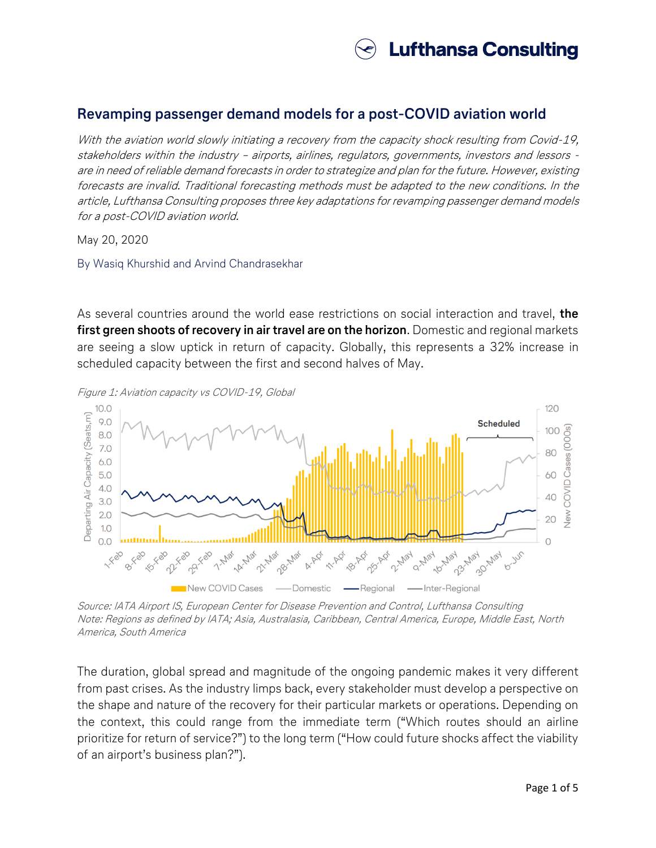

## **Revamping passenger demand models for a post-COVID aviation world**

With the aviation world slowly initiating a recovery from the capacity shock resulting from Covid-19, stakeholders within the industry – airports, airlines, regulators, governments, investors and lessors are in need of reliable demand forecasts in order to strategize and plan for the future. However, existing forecasts are invalid. Traditional forecasting methods must be adapted to the new conditions. In the article, Lufthansa Consulting proposes three key adaptations for revamping passenger demand models for a post-COVID aviation world.

May 20, 2020

By Wasiq Khurshid and Arvind Chandrasekhar

As several countries around the world ease restrictions on social interaction and travel, **the first green shoots of recovery in air travel are on the horizon**. Domestic and regional markets are seeing a slow uptick in return of capacity. Globally, this represents a 32% increase in scheduled capacity between the first and second halves of May.



Figure 1: Aviation capacity vs COVID-19, Global

Source: IATA Airport IS, European Center for Disease Prevention and Control, Lufthansa Consulting Note: Regions as defined by IATA; Asia, Australasia, Caribbean, Central America, Europe, Middle East, North America, South America

The duration, global spread and magnitude of the ongoing pandemic makes it very different from past crises. As the industry limps back, every stakeholder must develop a perspective on the shape and nature of the recovery for their particular markets or operations. Depending on the context, this could range from the immediate term ("Which routes should an airline prioritize for return of service?") to the long term ("How could future shocks affect the viability of an airport's business plan?").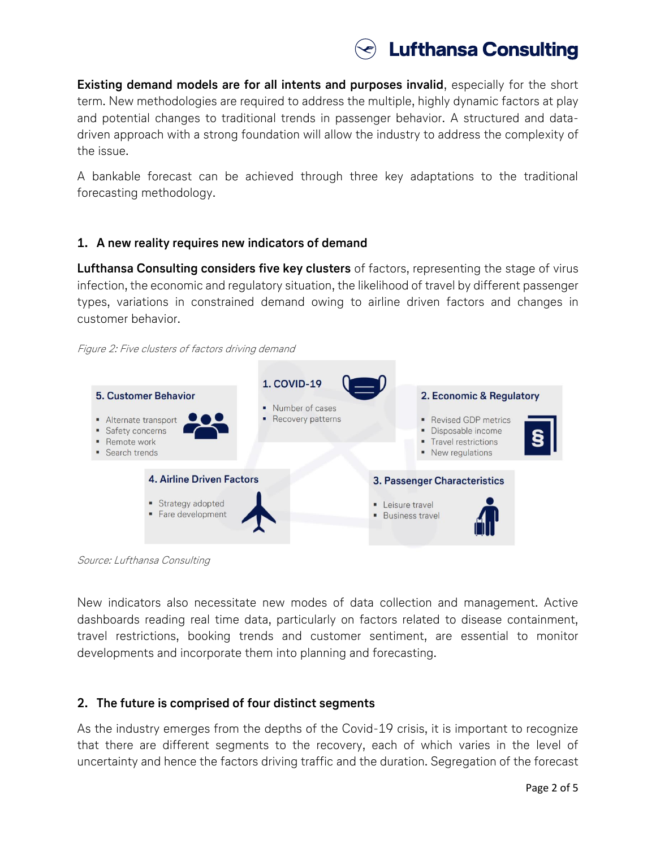

**Existing demand models are for all intents and purposes invalid**, especially for the short term. New methodologies are required to address the multiple, highly dynamic factors at play and potential changes to traditional trends in passenger behavior. A structured and datadriven approach with a strong foundation will allow the industry to address the complexity of the issue.

A bankable forecast can be achieved through three key adaptations to the traditional forecasting methodology.

## **1. A new reality requires new indicators of demand**

**Lufthansa Consulting considers five key clusters** of factors, representing the stage of virus infection, the economic and regulatory situation, the likelihood of travel by different passenger types, variations in constrained demand owing to airline driven factors and changes in customer behavior.





Source: Lufthansa Consulting

New indicators also necessitate new modes of data collection and management. Active dashboards reading real time data, particularly on factors related to disease containment, travel restrictions, booking trends and customer sentiment, are essential to monitor developments and incorporate them into planning and forecasting.

## **2. The future is comprised of four distinct segments**

As the industry emerges from the depths of the Covid-19 crisis, it is important to recognize that there are different segments to the recovery, each of which varies in the level of uncertainty and hence the factors driving traffic and the duration. Segregation of the forecast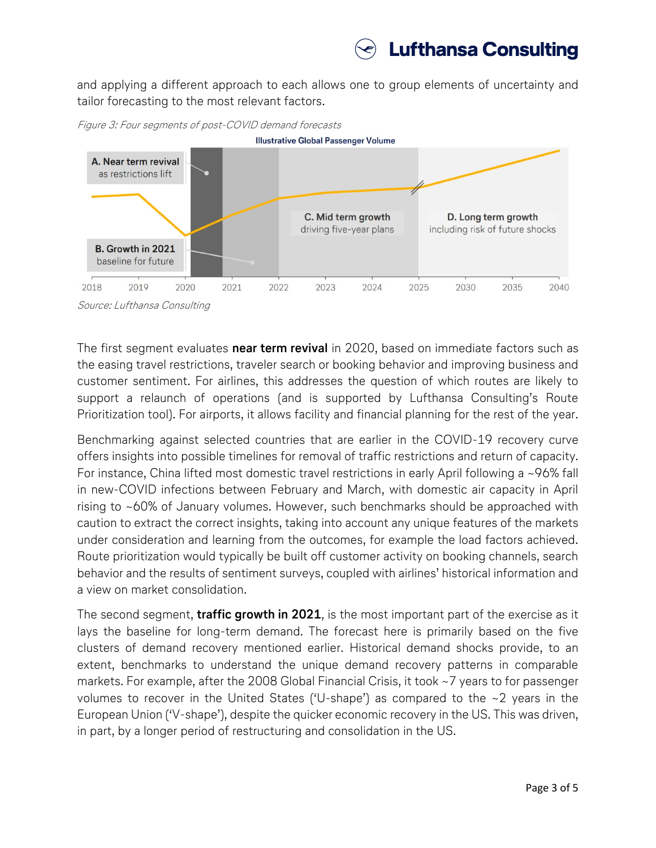

and applying a different approach to each allows one to group elements of uncertainty and tailor forecasting to the most relevant factors.



Figure 3: Four segments of post-COVID demand forecasts

The first segment evaluates **near term revival** in 2020, based on immediate factors such as the easing travel restrictions, traveler search or booking behavior and improving business and customer sentiment. For airlines, this addresses the question of which routes are likely to support a relaunch of operations (and is supported by Lufthansa Consulting's Route Prioritization tool). For airports, it allows facility and financial planning for the rest of the year.

Benchmarking against selected countries that are earlier in the COVID-19 recovery curve offers insights into possible timelines for removal of traffic restrictions and return of capacity. For instance, China lifted most domestic travel restrictions in early April following a ~96% fall in new-COVID infections between February and March, with domestic air capacity in April rising to ~60% of January volumes. However, such benchmarks should be approached with caution to extract the correct insights, taking into account any unique features of the markets under consideration and learning from the outcomes, for example the load factors achieved. Route prioritization would typically be built off customer activity on booking channels, search behavior and the results of sentiment surveys, coupled with airlines' historical information and a view on market consolidation.

The second segment, **traffic growth in 2021**, is the most important part of the exercise as it lays the baseline for long-term demand. The forecast here is primarily based on the five clusters of demand recovery mentioned earlier. Historical demand shocks provide, to an extent, benchmarks to understand the unique demand recovery patterns in comparable markets. For example, after the 2008 Global Financial Crisis, it took ~7 years to for passenger volumes to recover in the United States ('U-shape') as compared to the  $\sim$ 2 years in the European Union ('V-shape'), despite the quicker economic recovery in the US. This was driven, in part, by a longer period of restructuring and consolidation in the US.

Source: Lufthansa Consulting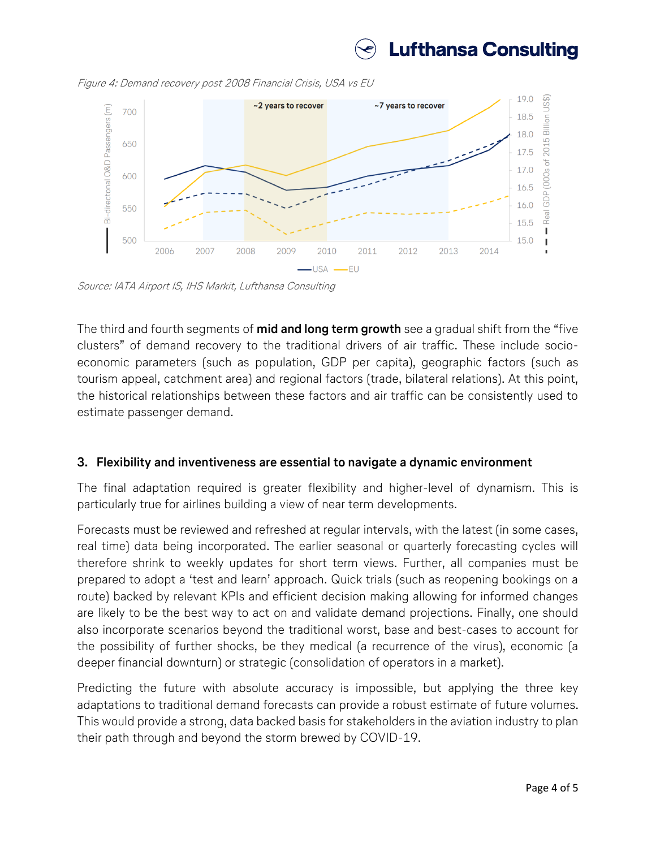

Figure 4: Demand recovery post 2008 Financial Crisis, USA vs EU



Source: IATA Airport IS, IHS Markit, Lufthansa Consulting

The third and fourth segments of **mid and long term growth** see a gradual shift from the "five clusters" of demand recovery to the traditional drivers of air traffic. These include socioeconomic parameters (such as population, GDP per capita), geographic factors (such as tourism appeal, catchment area) and regional factors (trade, bilateral relations). At this point, the historical relationships between these factors and air traffic can be consistently used to estimate passenger demand.

## **3. Flexibility and inventiveness are essential to navigate a dynamic environment**

The final adaptation required is greater flexibility and higher-level of dynamism. This is particularly true for airlines building a view of near term developments.

Forecasts must be reviewed and refreshed at regular intervals, with the latest (in some cases, real time) data being incorporated. The earlier seasonal or quarterly forecasting cycles will therefore shrink to weekly updates for short term views. Further, all companies must be prepared to adopt a 'test and learn' approach. Quick trials (such as reopening bookings on a route) backed by relevant KPIs and efficient decision making allowing for informed changes are likely to be the best way to act on and validate demand projections. Finally, one should also incorporate scenarios beyond the traditional worst, base and best-cases to account for the possibility of further shocks, be they medical (a recurrence of the virus), economic (a deeper financial downturn) or strategic (consolidation of operators in a market).

Predicting the future with absolute accuracy is impossible, but applying the three key adaptations to traditional demand forecasts can provide a robust estimate of future volumes. This would provide a strong, data backed basis for stakeholders in the aviation industry to plan their path through and beyond the storm brewed by COVID-19.